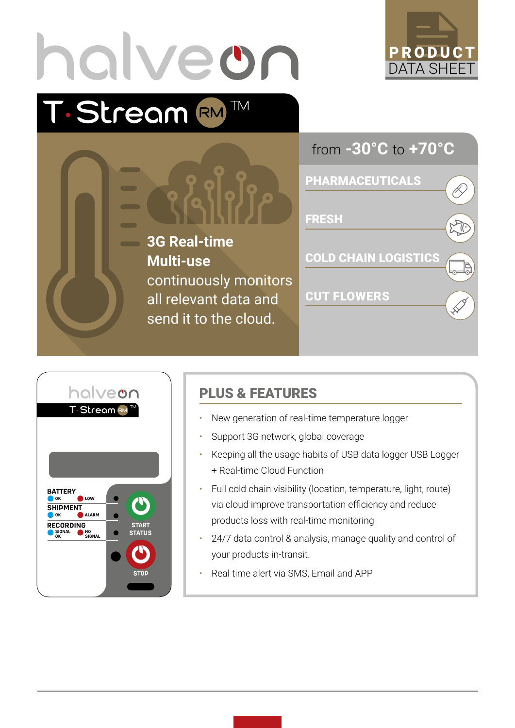



## PLUS & FEATURES

- New generation of real-time temperature logger
- Support 3G network, global coverage
- Keeping all the usage habits of USB data logger USB Logger + Real-time Cloud Function

Ö

KE

 $\overline{\mathbb{P}}^{\circ}$ 

℅

- Full cold chain visibility (location, temperature, light, route) via cloud improve transportation efficiency and reduce products loss with real-time monitoring
- 24/7 data control & analysis, manage quality and control of your products in-transit.
- Real time alert via SMS, Email and APP